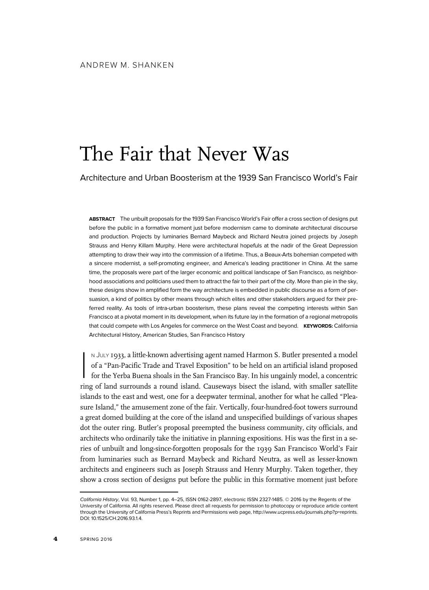# The Fair that Never Was

Architecture and Urban Boosterism at the 1939 San Francisco World's Fair

ABSTRACT The unbuilt proposals for the 1939 San Francisco World's Fair offer a cross section of designs put before the public in a formative moment just before modernism came to dominate architectural discourse and production. Projects by luminaries Bernard Maybeck and Richard Neutra joined projects by Joseph Strauss and Henry Killam Murphy. Here were architectural hopefuls at the nadir of the Great Depression attempting to draw their way into the commission of a lifetime. Thus, a Beaux-Arts bohemian competed with a sincere modernist, a self-promoting engineer, and America's leading practitioner in China. At the same time, the proposals were part of the larger economic and political landscape of San Francisco, as neighborhood associations and politicians used them to attract the fair to their part of the city. More than pie in the sky, these designs show in amplified form the way architecture is embedded in public discourse as a form of persuasion, a kind of politics by other means through which elites and other stakeholders argued for their preferred reality. As tools of intra-urban boosterism, these plans reveal the competing interests within San Francisco at a pivotal moment in its development, when its future lay in the formation of a regional metropolis that could compete with Los Angeles for commerce on the West Coast and beyond. KEYWORDS: California Architectural History, American Studies, San Francisco History

 $\begin{bmatrix} \frac{1}{2} & \frac{1}{2} & \frac{1}{2} & \frac{1}{2} & \frac{1}{2} & \frac{1}{2} & \frac{1}{2} & \frac{1}{2} & \frac{1}{2} & \frac{1}{2} & \frac{1}{2} & \frac{1}{2} & \frac{1}{2} & \frac{1}{2} & \frac{1}{2} & \frac{1}{2} & \frac{1}{2} & \frac{1}{2} & \frac{1}{2} & \frac{1}{2} & \frac{1}{2} & \frac{1}{2} & \frac{1}{2} & \frac{1}{2} & \frac{1}{2} & \frac{1}{2} & \frac{1}{2$ N JULY 1933, a little-known advertising agent named Harmon S. Butler presented a model of a "Pan-Pacific Trade and Travel Exposition" to be held on an artificial island proposed for the Yerba Buena shoals in the San Francisco Bay. In his ungainly model, a concentric ring of land surrounds a round island. Causeways bisect the island, with smaller satellite islands to the east and west, one for a deepwater terminal, another for what he called "Pleasure Island," the amusement zone of the fair. Vertically, four-hundred-foot towers surround a great domed building at the core of the island and unspecified buildings of various shapes dot the outer ring. Butler's proposal preempted the business community, city officials, and architects who ordinarily take the initiative in planning expositions. His was the first in a series of unbuilt and long-since-forgotten proposals for the 1939 San Francisco World's Fair from luminaries such as Bernard Maybeck and Richard Neutra, as well as lesser-known architects and engineers such as Joseph Strauss and Henry Murphy. Taken together, they show a cross section of designs put before the public in this formative moment just before

California History, Vol. 93, Number 1, pp. 4–25, ISSN 0162-2897, electronic ISSN 2327-1485. © 2016 by the Regents of the University of California. All rights reserved. Please direct all requests for permission to photocopy or reproduce article content through the University of California Press's Reprints and Permissions web page, http://www.ucpress.edu/journals.php?p=reprints. DOI: 10.1525/CH.2016.93.1.4.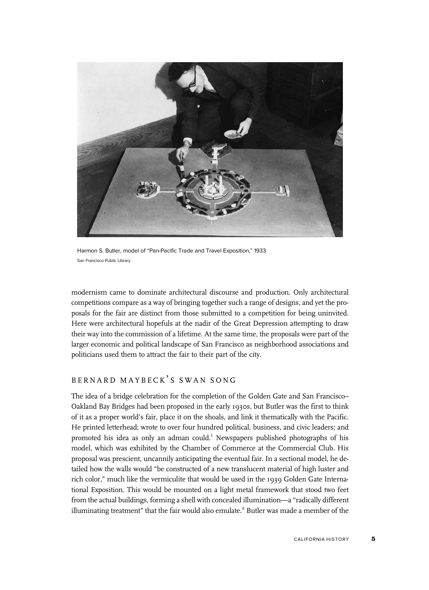

Harmon S. Butler, model of "Pan-Pacific Trade and Travel Exposition," 1933 San Francisco Public Library

modernism came to dominate architectural discourse and production. Only architectural competitions compare as a way of bringing together such a range of designs, and yet the proposals for the fair are distinct from those submitted to a competition for being uninvited. Here were architectural hopefuls at the nadir of the Great Depression attempting to draw their way into the commission of a lifetime. At the same time, the proposals were part of the larger economic and political landscape of San Francisco as neighborhood associations and politicians used them to attract the fair to their part of the city.

# BERNARD MAYBECK'S SWAN SONG

The idea of a bridge celebration for the completion of the Golden Gate and San Francisco– Oakland Bay Bridges had been proposed in the early 1930s, but Butler was the first to think of it as a proper world's fair, place it on the shoals, and link it thematically with the Pacific. He printed letterhead; wrote to over four hundred political, business, and civic leaders; and promoted his idea as only an adman could.<sup>1</sup> Newspapers published photographs of his model, which was exhibited by the Chamber of Commerce at the Commercial Club. His proposal was prescient, uncannily anticipating the eventual fair. In a sectional model, he detailed how the walls would "be constructed of a new translucent material of high luster and rich color," much like the vermiculite that would be used in the 1939 Golden Gate International Exposition. This would be mounted on a light metal framework that stood two feet from the actual buildings, forming a shell with concealed illumination—a "radically different illuminating treatment" that the fair would also emulate.<sup>2</sup> Butler was made a member of the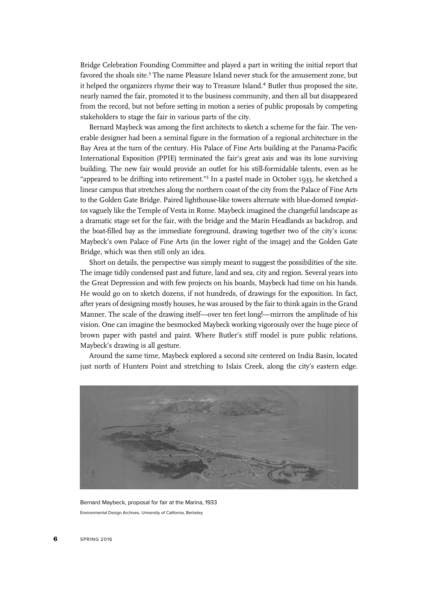Bridge Celebration Founding Committee and played a part in writing the initial report that favored the shoals site.<sup>3</sup> The name Pleasure Island never stuck for the amusement zone, but it helped the organizers rhyme their way to Treasure Island.4 Butler thus proposed the site, nearly named the fair, promoted it to the business community, and then all but disappeared from the record, but not before setting in motion a series of public proposals by competing stakeholders to stage the fair in various parts of the city.

Bernard Maybeck was among the first architects to sketch a scheme for the fair. The venerable designer had been a seminal figure in the formation of a regional architecture in the Bay Area at the turn of the century. His Palace of Fine Arts building at the Panama-Pacific International Exposition (PPIE) terminated the fair's great axis and was its lone surviving building. The new fair would provide an outlet for his still-formidable talents, even as he "appeared to be drifting into retirement."<sup>5</sup> In a pastel made in October 1933, he sketched a linear campus that stretches along the northern coast of the city from the Palace of Fine Arts to the Golden Gate Bridge. Paired lighthouse-like towers alternate with blue-domed tempiettos vaguely like the Temple of Vesta in Rome. Maybeck imagined the changeful landscape as a dramatic stage set for the fair, with the bridge and the Marin Headlands as backdrop, and the boat-filled bay as the immediate foreground, drawing together two of the city's icons: Maybeck's own Palace of Fine Arts (in the lower right of the image) and the Golden Gate Bridge, which was then still only an idea.

Short on details, the perspective was simply meant to suggest the possibilities of the site. The image tidily condensed past and future, land and sea, city and region. Several years into the Great Depression and with few projects on his boards, Maybeck had time on his hands. He would go on to sketch dozens, if not hundreds, of drawings for the exposition. In fact, after years of designing mostly houses, he was aroused by the fair to think again in the Grand Manner. The scale of the drawing itself—over ten feet long!—mirrors the amplitude of his vision. One can imagine the besmocked Maybeck working vigorously over the huge piece of brown paper with pastel and paint. Where Butler's stiff model is pure public relations, Maybeck's drawing is all gesture.

Around the same time, Maybeck explored a second site centered on India Basin, located just north of Hunters Point and stretching to Islais Creek, along the city's eastern edge.



Bernard Maybeck, proposal for fair at the Marina, 1933 Environmental Design Archives, University of California, Berkeley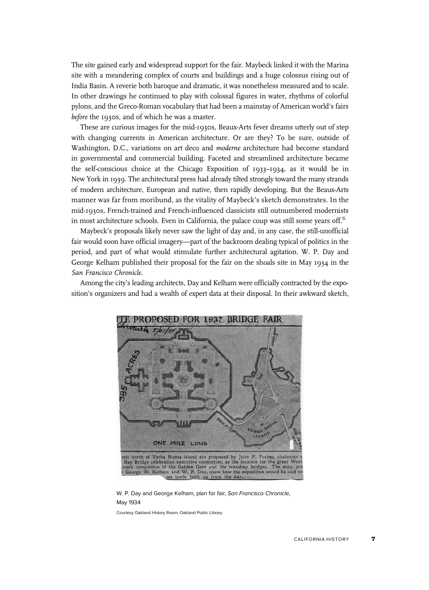The site gained early and widespread support for the fair. Maybeck linked it with the Marina site with a meandering complex of courts and buildings and a huge colossus rising out of India Basin. A reverie both baroque and dramatic, it was nonetheless measured and to scale. In other drawings he continued to play with colossal figures in water, rhythms of colorful pylons, and the Greco-Roman vocabulary that had been a mainstay of American world's fairs before the 1930s, and of which he was a master.

These are curious images for the mid-1930s, Beaux-Arts fever dreams utterly out of step with changing currents in American architecture. Or are they? To be sure, outside of Washington, D.C., variations on art deco and moderne architecture had become standard in governmental and commercial building. Faceted and streamlined architecture became the self-conscious choice at the Chicago Exposition of 1933–1934, as it would be in New York in 1939. The architectural press had already tilted strongly toward the many strands of modern architecture, European and native, then rapidly developing. But the Beaux-Arts manner was far from moribund, as the vitality of Maybeck's sketch demonstrates. In the mid-1930s, French-trained and French-influenced classicists still outnumbered modernists in most architecture schools. Even in California, the palace coup was still some years off.<sup>6</sup>

Maybeck's proposals likely never saw the light of day and, in any case, the still-unofficial fair would soon have official imagery—part of the backroom dealing typical of politics in the period, and part of what would stimulate further architectural agitation. W. P. Day and George Kelham published their proposal for the fair on the shoals site in May 1934 in the San Francisco Chronicle.

Among the city's leading architects, Day and Kelham were officially contracted by the exposition's organizers and had a wealth of expert data at their disposal. In their awkward sketch,



W. P. Day and George Kelham, plan for fair, San Francisco Chronicle, May 1934

Courtesy Oakland History Room, Oakland Public Library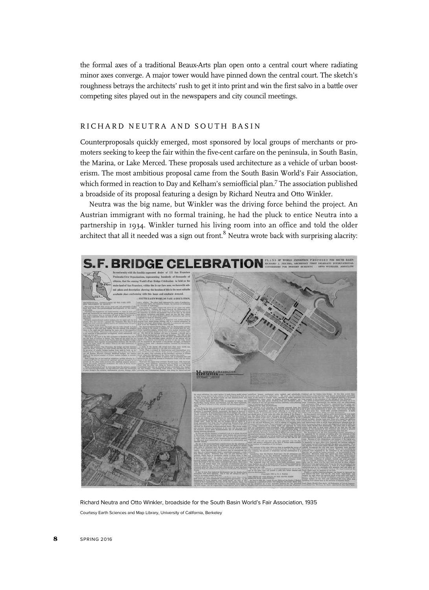the formal axes of a traditional Beaux-Arts plan open onto a central court where radiating minor axes converge. A major tower would have pinned down the central court. The sketch's roughness betrays the architects' rush to get it into print and win the first salvo in a battle over competing sites played out in the newspapers and city council meetings.

#### RICHARD NEUTRA AND SOUTH BASIN

Counterproposals quickly emerged, most sponsored by local groups of merchants or promoters seeking to keep the fair within the five-cent carfare on the peninsula, in South Basin, the Marina, or Lake Merced. These proposals used architecture as a vehicle of urban boosterism. The most ambitious proposal came from the South Basin World's Fair Association, which formed in reaction to Day and Kelham's semiofficial plan.<sup>7</sup> The association published a broadside of its proposal featuring a design by Richard Neutra and Otto Winkler.

Neutra was the big name, but Winkler was the driving force behind the project. An Austrian immigrant with no formal training, he had the pluck to entice Neutra into a partnership in 1934. Winkler turned his living room into an office and told the older architect that all it needed was a sign out front. $8$  Neutra wrote back with surprising alacrity:



Richard Neutra and Otto Winkler, broadside for the South Basin World's Fair Association, 1935 Courtesy Earth Sciences and Map Library, University of California, Berkeley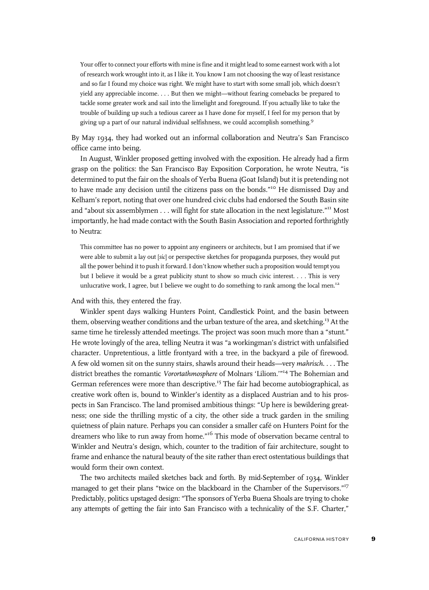Your offer to connect your efforts with mine is fine and it might lead to some earnest work with a lot of research work wrought into it, as I like it. You know I am not choosing the way of least resistance and so far I found my choice was right. We might have to start with some small job, which doesn't yield any appreciable income. . . . But then we might—without fearing comebacks be prepared to tackle some greater work and sail into the limelight and foreground. If you actually like to take the trouble of building up such a tedious career as I have done for myself, I feel for my person that by giving up a part of our natural individual selfishness, we could accomplish something.<sup>9</sup>

By May 1934, they had worked out an informal collaboration and Neutra's San Francisco office came into being.

In August, Winkler proposed getting involved with the exposition. He already had a firm grasp on the politics: the San Francisco Bay Exposition Corporation, he wrote Neutra, "is determined to put the fair on the shoals of Yerba Buena (Goat Island) but it is pretending not to have made any decision until the citizens pass on the bonds."<sup>10</sup> He dismissed Day and Kelham's report, noting that over one hundred civic clubs had endorsed the South Basin site and "about six assemblymen . . . will fight for state allocation in the next legislature."<sup>11</sup> Most importantly, he had made contact with the South Basin Association and reported forthrightly to Neutra:

This committee has no power to appoint any engineers or architects, but I am promised that if we were able to submit a lay out [sic] or perspective sketches for propaganda purposes, they would put all the power behind it to push it forward. I don't know whether such a proposition would tempt you but I believe it would be a great publicity stunt to show so much civic interest. . . . This is very unlucrative work, I agree, but I believe we ought to do something to rank among the local men.<sup>12</sup>

And with this, they entered the fray.

Winkler spent days walking Hunters Point, Candlestick Point, and the basin between them, observing weather conditions and the urban texture of the area, and sketching.<sup>13</sup> At the same time he tirelessly attended meetings. The project was soon much more than a "stunt." He wrote lovingly of the area, telling Neutra it was "a workingman's district with unfalsified character. Unpretentious, a little frontyard with a tree, in the backyard a pile of firewood. A few old women sit on the sunny stairs, shawls around their heads—very mahrisch. . . . The district breathes the romantic Vorortathmosphere of Molnars 'Liliom.'"<sup>14</sup> The Bohemian and German references were more than descriptive.<sup>15</sup> The fair had become autobiographical, as creative work often is, bound to Winkler's identity as a displaced Austrian and to his prospects in San Francisco. The land promised ambitious things: "Up here is bewildering greatness; one side the thrilling mystic of a city, the other side a truck garden in the smiling quietness of plain nature. Perhaps you can consider a smaller café on Hunters Point for the dreamers who like to run away from home."<sup>16</sup> This mode of observation became central to Winkler and Neutra's design, which, counter to the tradition of fair architecture, sought to frame and enhance the natural beauty of the site rather than erect ostentatious buildings that would form their own context.

The two architects mailed sketches back and forth. By mid-September of 1934, Winkler managed to get their plans "twice on the blackboard in the Chamber of the Supervisors."<sup>17</sup> Predictably, politics upstaged design: "The sponsors of Yerba Buena Shoals are trying to choke any attempts of getting the fair into San Francisco with a technicality of the S.F. Charter,"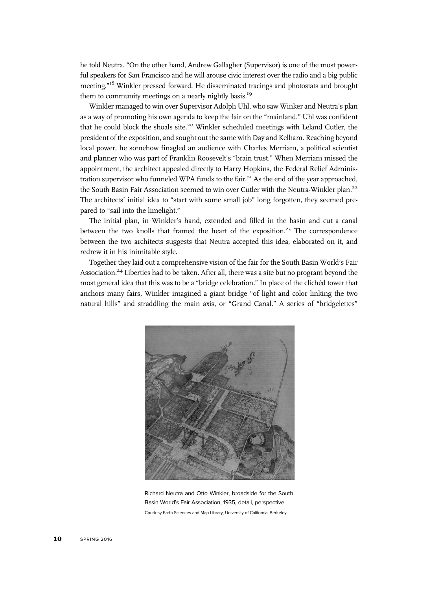he told Neutra. "On the other hand, Andrew Gallagher (Supervisor) is one of the most powerful speakers for San Francisco and he will arouse civic interest over the radio and a big public meeting." <sup>18</sup> Winkler pressed forward. He disseminated tracings and photostats and brought them to community meetings on a nearly nightly basis.<sup>19</sup>

Winkler managed to win over Supervisor Adolph Uhl, who saw Winker and Neutra's plan as a way of promoting his own agenda to keep the fair on the "mainland." Uhl was confident that he could block the shoals site.<sup>20</sup> Winkler scheduled meetings with Leland Cutler, the president of the exposition, and sought out the same with Day and Kelham. Reaching beyond local power, he somehow finagled an audience with Charles Merriam, a political scientist and planner who was part of Franklin Roosevelt's "brain trust." When Merriam missed the appointment, the architect appealed directly to Harry Hopkins, the Federal Relief Administration supervisor who funneled WPA funds to the fair.<sup>21</sup> As the end of the year approached, the South Basin Fair Association seemed to win over Cutler with the Neutra-Winkler plan.<sup>22</sup> The architects' initial idea to "start with some small job" long forgotten, they seemed prepared to "sail into the limelight."

The initial plan, in Winkler's hand, extended and filled in the basin and cut a canal between the two knolls that framed the heart of the exposition.<sup>23</sup> The correspondence between the two architects suggests that Neutra accepted this idea, elaborated on it, and redrew it in his inimitable style.

Together they laid out a comprehensive vision of the fair for the South Basin World's Fair Association.<sup>24</sup> Liberties had to be taken. After all, there was a site but no program beyond the most general idea that this was to be a "bridge celebration." In place of the clichéd tower that anchors many fairs, Winkler imagined a giant bridge "of light and color linking the two natural hills" and straddling the main axis, or "Grand Canal." A series of "bridgelettes"



Richard Neutra and Otto Winkler, broadside for the South Basin World's Fair Association, 1935, detail, perspective Courtesy Earth Sciences and Map Library, University of California, Berkeley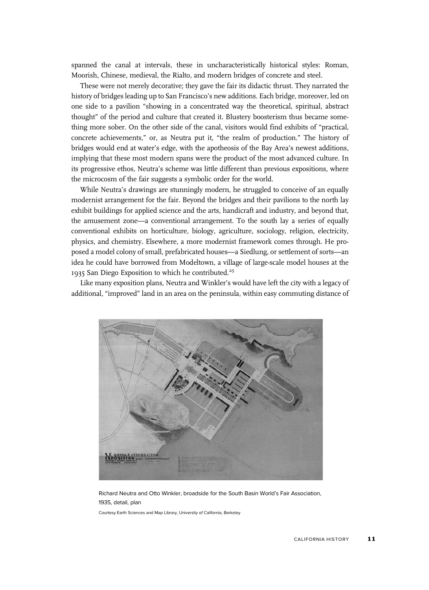spanned the canal at intervals, these in uncharacteristically historical styles: Roman, Moorish, Chinese, medieval, the Rialto, and modern bridges of concrete and steel.

These were not merely decorative; they gave the fair its didactic thrust. They narrated the history of bridges leading up to San Francisco's new additions. Each bridge, moreover, led on one side to a pavilion "showing in a concentrated way the theoretical, spiritual, abstract thought" of the period and culture that created it. Blustery boosterism thus became something more sober. On the other side of the canal, visitors would find exhibits of "practical, concrete achievements," or, as Neutra put it, "the realm of production." The history of bridges would end at water's edge, with the apotheosis of the Bay Area's newest additions, implying that these most modern spans were the product of the most advanced culture. In its progressive ethos, Neutra's scheme was little different than previous expositions, where the microcosm of the fair suggests a symbolic order for the world.

While Neutra's drawings are stunningly modern, he struggled to conceive of an equally modernist arrangement for the fair. Beyond the bridges and their pavilions to the north lay exhibit buildings for applied science and the arts, handicraft and industry, and beyond that, the amusement zone—a conventional arrangement. To the south lay a series of equally conventional exhibits on horticulture, biology, agriculture, sociology, religion, electricity, physics, and chemistry. Elsewhere, a more modernist framework comes through. He proposed a model colony of small, prefabricated houses—a Siedlung, or settlement of sorts—an idea he could have borrowed from Modeltown, a village of large-scale model houses at the 1935 San Diego Exposition to which he contributed.<sup>25</sup>

Like many exposition plans, Neutra and Winkler's would have left the city with a legacy of additional, "improved" land in an area on the peninsula, within easy commuting distance of



Richard Neutra and Otto Winkler, broadside for the South Basin World's Fair Association, 1935, detail, plan

Courtesy Earth Sciences and Map Library, University of California, Berkeley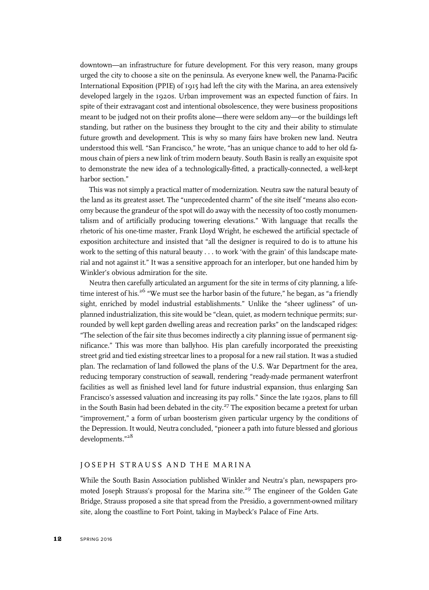downtown—an infrastructure for future development. For this very reason, many groups urged the city to choose a site on the peninsula. As everyone knew well, the Panama-Pacific International Exposition (PPIE) of 1915 had left the city with the Marina, an area extensively developed largely in the 1920s. Urban improvement was an expected function of fairs. In spite of their extravagant cost and intentional obsolescence, they were business propositions meant to be judged not on their profits alone—there were seldom any—or the buildings left standing, but rather on the business they brought to the city and their ability to stimulate future growth and development. This is why so many fairs have broken new land. Neutra understood this well. "San Francisco," he wrote, "has an unique chance to add to her old famous chain of piers a new link of trim modern beauty. South Basin is really an exquisite spot to demonstrate the new idea of a technologically-fitted, a practically-connected, a well-kept harbor section."

This was not simply a practical matter of modernization. Neutra saw the natural beauty of the land as its greatest asset. The "unprecedented charm" of the site itself "means also economy because the grandeur of the spot will do away with the necessity of too costly monumentalism and of artificially producing towering elevations." With language that recalls the rhetoric of his one-time master, Frank Lloyd Wright, he eschewed the artificial spectacle of exposition architecture and insisted that "all the designer is required to do is to attune his work to the setting of this natural beauty . . . to work 'with the grain' of this landscape material and not against it." It was a sensitive approach for an interloper, but one handed him by Winkler's obvious admiration for the site.

Neutra then carefully articulated an argument for the site in terms of city planning, a lifetime interest of his.<sup>26</sup> "We must see the harbor basin of the future," he began, as "a friendly sight, enriched by model industrial establishments." Unlike the "sheer ugliness" of unplanned industrialization, this site would be "clean, quiet, as modern technique permits; surrounded by well kept garden dwelling areas and recreation parks" on the landscaped ridges: "The selection of the fair site thus becomes indirectly a city planning issue of permanent significance." This was more than ballyhoo. His plan carefully incorporated the preexisting street grid and tied existing streetcar lines to a proposal for a new rail station. It was a studied plan. The reclamation of land followed the plans of the U.S. War Department for the area, reducing temporary construction of seawall, rendering "ready-made permanent waterfront facilities as well as finished level land for future industrial expansion, thus enlarging San Francisco's assessed valuation and increasing its pay rolls." Since the late 1920s, plans to fill in the South Basin had been debated in the city.<sup>27</sup> The exposition became a pretext for urban "improvement," a form of urban boosterism given particular urgency by the conditions of the Depression. It would, Neutra concluded, "pioneer a path into future blessed and glorious developments." 28

### JOSEPH STRAUSS AND THE MARINA

While the South Basin Association published Winkler and Neutra's plan, newspapers promoted Joseph Strauss's proposal for the Marina site.<sup>29</sup> The engineer of the Golden Gate Bridge, Strauss proposed a site that spread from the Presidio, a government-owned military site, along the coastline to Fort Point, taking in Maybeck's Palace of Fine Arts.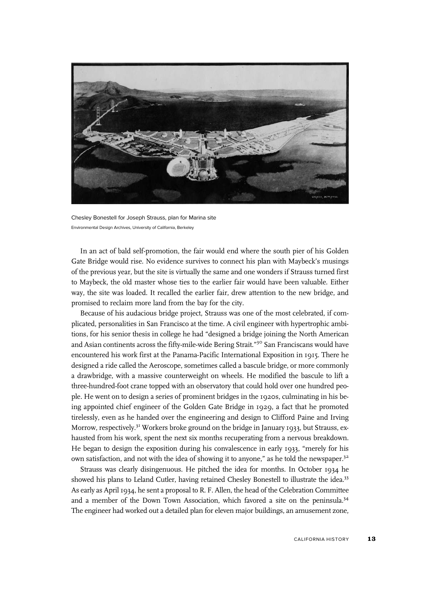

Chesley Bonestell for Joseph Strauss, plan for Marina site Environmental Design Archives, University of California, Berkeley

In an act of bald self-promotion, the fair would end where the south pier of his Golden Gate Bridge would rise. No evidence survives to connect his plan with Maybeck's musings of the previous year, but the site is virtually the same and one wonders if Strauss turned first to Maybeck, the old master whose ties to the earlier fair would have been valuable. Either way, the site was loaded. It recalled the earlier fair, drew attention to the new bridge, and promised to reclaim more land from the bay for the city.

Because of his audacious bridge project, Strauss was one of the most celebrated, if complicated, personalities in San Francisco at the time. A civil engineer with hypertrophic ambitions, for his senior thesis in college he had "designed a bridge joining the North American and Asian continents across the fifty-mile-wide Bering Strait."<sup>30</sup> San Franciscans would have encountered his work first at the Panama-Pacific International Exposition in 1915. There he designed a ride called the Aeroscope, sometimes called a bascule bridge, or more commonly a drawbridge, with a massive counterweight on wheels. He modified the bascule to lift a three-hundred-foot crane topped with an observatory that could hold over one hundred people. He went on to design a series of prominent bridges in the 1920s, culminating in his being appointed chief engineer of the Golden Gate Bridge in 1929, a fact that he promoted tirelessly, even as he handed over the engineering and design to Clifford Paine and Irving Morrow, respectively.<sup>31</sup> Workers broke ground on the bridge in January 1933, but Strauss, exhausted from his work, spent the next six months recuperating from a nervous breakdown. He began to design the exposition during his convalescence in early 1933, "merely for his own satisfaction, and not with the idea of showing it to anyone," as he told the newspaper.<sup>32</sup>

Strauss was clearly disingenuous. He pitched the idea for months. In October 1934 he showed his plans to Leland Cutler, having retained Chesley Bonestell to illustrate the idea.<sup>33</sup> As early as April 1934, he sent a proposal to R. F. Allen, the head of the Celebration Committee and a member of the Down Town Association, which favored a site on the peninsula.<sup>34</sup> The engineer had worked out a detailed plan for eleven major buildings, an amusement zone,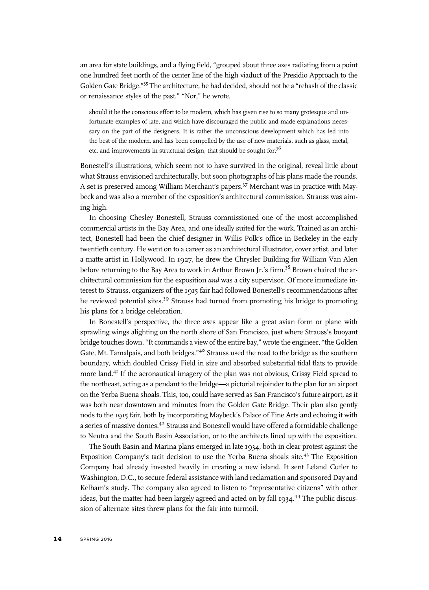an area for state buildings, and a flying field, "grouped about three axes radiating from a point one hundred feet north of the center line of the high viaduct of the Presidio Approach to the Golden Gate Bridge." <sup>35</sup> The architecture, he had decided, should not be a "rehash of the classic or renaissance styles of the past." "Nor," he wrote,

should it be the conscious effort to be modern, which has given rise to so many grotesque and unfortunate examples of late, and which have discouraged the public and made explanations necessary on the part of the designers. It is rather the unconscious development which has led into the best of the modern, and has been compelled by the use of new materials, such as glass, metal, etc. and improvements in structural design, that should be sought for.<sup>36</sup>

Bonestell's illustrations, which seem not to have survived in the original, reveal little about what Strauss envisioned architecturally, but soon photographs of his plans made the rounds. A set is preserved among William Merchant's papers.37 Merchant was in practice with Maybeck and was also a member of the exposition's architectural commission. Strauss was aiming high.

In choosing Chesley Bonestell, Strauss commissioned one of the most accomplished commercial artists in the Bay Area, and one ideally suited for the work. Trained as an architect, Bonestell had been the chief designer in Willis Polk's office in Berkeley in the early twentieth century. He went on to a career as an architectural illustrator, cover artist, and later a matte artist in Hollywood. In 1927, he drew the Chrysler Building for William Van Alen before returning to the Bay Area to work in Arthur Brown Jr.'s firm.<sup>38</sup> Brown chaired the architectural commission for the exposition and was a city supervisor. Of more immediate interest to Strauss, organizers of the 1915 fair had followed Bonestell's recommendations after he reviewed potential sites.<sup>39</sup> Strauss had turned from promoting his bridge to promoting his plans for a bridge celebration.

In Bonestell's perspective, the three axes appear like a great avian form or plane with sprawling wings alighting on the north shore of San Francisco, just where Strauss's buoyant bridge touches down. "It commands a view of the entire bay," wrote the engineer, "the Golden Gate, Mt. Tamalpais, and both bridges."<sup>40</sup> Strauss used the road to the bridge as the southern boundary, which doubled Crissy Field in size and absorbed substantial tidal flats to provide more land.41 If the aeronautical imagery of the plan was not obvious, Crissy Field spread to the northeast, acting as a pendant to the bridge—a pictorial rejoinder to the plan for an airport on the Yerba Buena shoals. This, too, could have served as San Francisco's future airport, as it was both near downtown and minutes from the Golden Gate Bridge. Their plan also gently nods to the 1915 fair, both by incorporating Maybeck's Palace of Fine Arts and echoing it with a series of massive domes.<sup>42</sup> Strauss and Bonestell would have offered a formidable challenge to Neutra and the South Basin Association, or to the architects lined up with the exposition.

The South Basin and Marina plans emerged in late 1934, both in clear protest against the Exposition Company's tacit decision to use the Yerba Buena shoals site.<sup>43</sup> The Exposition Company had already invested heavily in creating a new island. It sent Leland Cutler to Washington, D.C., to secure federal assistance with land reclamation and sponsored Day and Kelham's study. The company also agreed to listen to "representative citizens" with other ideas, but the matter had been largely agreed and acted on by fall 1934.<sup>44</sup> The public discussion of alternate sites threw plans for the fair into turmoil.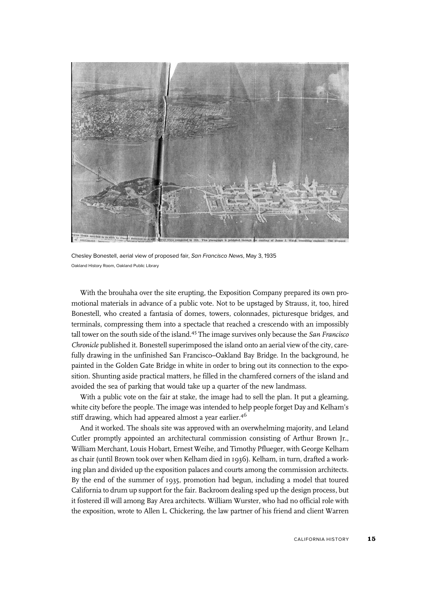

Chesley Bonestell, aerial view of proposed fair, San Francisco News, May 3, 1935 Oakland History Room, Oakland Public Library

With the brouhaha over the site erupting, the Exposition Company prepared its own promotional materials in advance of a public vote. Not to be upstaged by Strauss, it, too, hired Bonestell, who created a fantasia of domes, towers, colonnades, picturesque bridges, and terminals, compressing them into a spectacle that reached a crescendo with an impossibly tall tower on the south side of the island.<sup>45</sup> The image survives only because the *San Francisco* Chronicle published it. Bonestell superimposed the island onto an aerial view of the city, carefully drawing in the unfinished San Francisco–Oakland Bay Bridge. In the background, he painted in the Golden Gate Bridge in white in order to bring out its connection to the exposition. Shunting aside practical matters, he filled in the chamfered corners of the island and avoided the sea of parking that would take up a quarter of the new landmass.

With a public vote on the fair at stake, the image had to sell the plan. It put a gleaming, white city before the people. The image was intended to help people forget Day and Kelham's stiff drawing, which had appeared almost a year earlier.<sup>46</sup>

And it worked. The shoals site was approved with an overwhelming majority, and Leland Cutler promptly appointed an architectural commission consisting of Arthur Brown Jr., William Merchant, Louis Hobart, Ernest Weihe, and Timothy Pflueger, with George Kelham as chair (until Brown took over when Kelham died in 1936). Kelham, in turn, drafted a working plan and divided up the exposition palaces and courts among the commission architects. By the end of the summer of 1935, promotion had begun, including a model that toured California to drum up support for the fair. Backroom dealing sped up the design process, but it fostered ill will among Bay Area architects. William Wurster, who had no official role with the exposition, wrote to Allen L. Chickering, the law partner of his friend and client Warren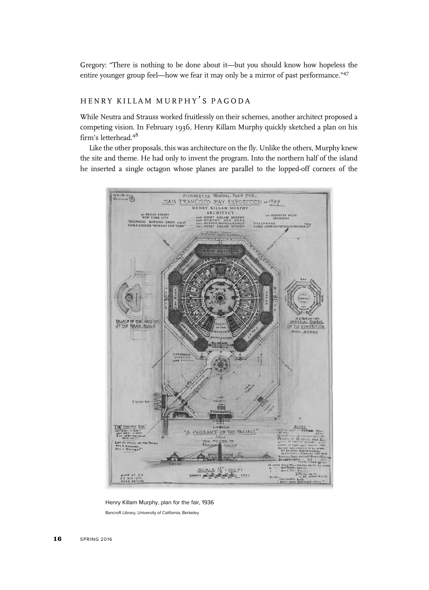Gregory: "There is nothing to be done about it—but you should know how hopeless the entire younger group feel—how we fear it may only be a mirror of past performance."<sup>47</sup>

## HENRY KILLAM MURPHY'S PAGODA

While Neutra and Strauss worked fruitlessly on their schemes, another architect proposed a competing vision. In February 1936, Henry Killam Murphy quickly sketched a plan on his firm's letterhead.<sup>48</sup>

Like the other proposals, this was architecture on the fly. Unlike the others, Murphy knew the site and theme. He had only to invent the program. Into the northern half of the island he inserted a single octagon whose planes are parallel to the lopped-off corners of the



Henry Killam Murphy, plan for the fair, 1936 Bancroft Library, University of California, Berkeley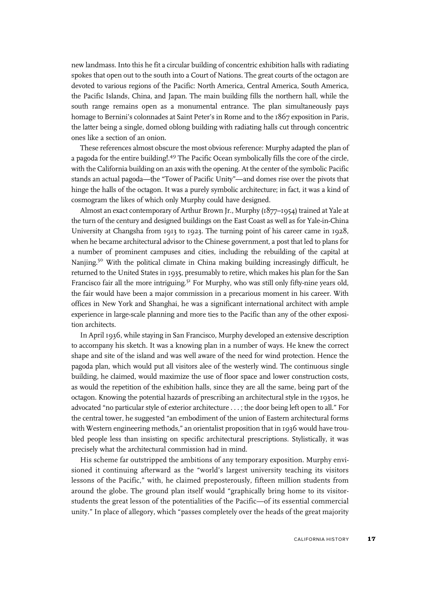new landmass. Into this he fit a circular building of concentric exhibition halls with radiating spokes that open out to the south into a Court of Nations. The great courts of the octagon are devoted to various regions of the Pacific: North America, Central America, South America, the Pacific Islands, China, and Japan. The main building fills the northern hall, while the south range remains open as a monumental entrance. The plan simultaneously pays homage to Bernini's colonnades at Saint Peter's in Rome and to the 1867 exposition in Paris, the latter being a single, domed oblong building with radiating halls cut through concentric ones like a section of an onion.

These references almost obscure the most obvious reference: Murphy adapted the plan of a pagoda for the entire building!.49 The Pacific Ocean symbolically fills the core of the circle, with the California building on an axis with the opening. At the center of the symbolic Pacific stands an actual pagoda—the "Tower of Pacific Unity"—and domes rise over the pivots that hinge the halls of the octagon. It was a purely symbolic architecture; in fact, it was a kind of cosmogram the likes of which only Murphy could have designed.

Almost an exact contemporary of Arthur Brown Jr., Murphy (1877–1954) trained at Yale at the turn of the century and designed buildings on the East Coast as well as for Yale-in-China University at Changsha from 1913 to 1923. The turning point of his career came in 1928, when he became architectural advisor to the Chinese government, a post that led to plans for a number of prominent campuses and cities, including the rebuilding of the capital at Nanjing.<sup>50</sup> With the political climate in China making building increasingly difficult, he returned to the United States in 1935, presumably to retire, which makes his plan for the San Francisco fair all the more intriguing.<sup>51</sup> For Murphy, who was still only fifty-nine years old, the fair would have been a major commission in a precarious moment in his career. With offices in New York and Shanghai, he was a significant international architect with ample experience in large-scale planning and more ties to the Pacific than any of the other exposition architects.

In April 1936, while staying in San Francisco, Murphy developed an extensive description to accompany his sketch. It was a knowing plan in a number of ways. He knew the correct shape and site of the island and was well aware of the need for wind protection. Hence the pagoda plan, which would put all visitors alee of the westerly wind. The continuous single building, he claimed, would maximize the use of floor space and lower construction costs, as would the repetition of the exhibition halls, since they are all the same, being part of the octagon. Knowing the potential hazards of prescribing an architectural style in the 1930s, he advocated "no particular style of exterior architecture . . . ; the door being left open to all." For the central tower, he suggested "an embodiment of the union of Eastern architectural forms with Western engineering methods," an orientalist proposition that in 1936 would have troubled people less than insisting on specific architectural prescriptions. Stylistically, it was precisely what the architectural commission had in mind.

His scheme far outstripped the ambitions of any temporary exposition. Murphy envisioned it continuing afterward as the "world's largest university teaching its visitors lessons of the Pacific," with, he claimed preposterously, fifteen million students from around the globe. The ground plan itself would "graphically bring home to its visitorstudents the great lesson of the potentialities of the Pacific—of its essential commercial unity." In place of allegory, which "passes completely over the heads of the great majority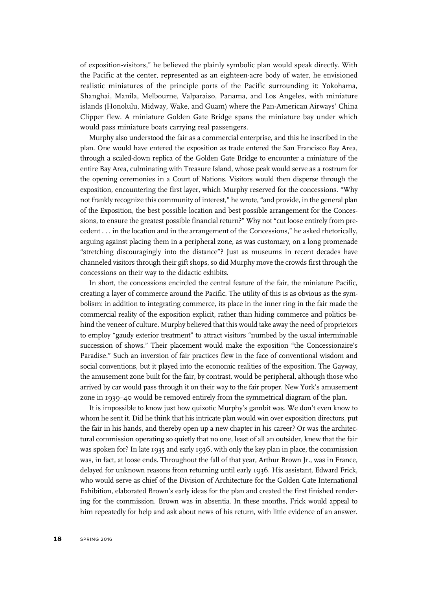of exposition-visitors," he believed the plainly symbolic plan would speak directly. With the Pacific at the center, represented as an eighteen-acre body of water, he envisioned realistic miniatures of the principle ports of the Pacific surrounding it: Yokohama, Shanghai, Manila, Melbourne, Valparaiso, Panama, and Los Angeles, with miniature islands (Honolulu, Midway, Wake, and Guam) where the Pan-American Airways' China Clipper flew. A miniature Golden Gate Bridge spans the miniature bay under which would pass miniature boats carrying real passengers.

Murphy also understood the fair as a commercial enterprise, and this he inscribed in the plan. One would have entered the exposition as trade entered the San Francisco Bay Area, through a scaled-down replica of the Golden Gate Bridge to encounter a miniature of the entire Bay Area, culminating with Treasure Island, whose peak would serve as a rostrum for the opening ceremonies in a Court of Nations. Visitors would then disperse through the exposition, encountering the first layer, which Murphy reserved for the concessions. "Why not frankly recognize this community of interest," he wrote, "and provide, in the general plan of the Exposition, the best possible location and best possible arrangement for the Concessions, to ensure the greatest possible financial return?" Why not "cut loose entirely from precedent . . . in the location and in the arrangement of the Concessions," he asked rhetorically, arguing against placing them in a peripheral zone, as was customary, on a long promenade "stretching discouragingly into the distance"? Just as museums in recent decades have channeled visitors through their gift shops, so did Murphy move the crowds first through the concessions on their way to the didactic exhibits.

In short, the concessions encircled the central feature of the fair, the miniature Pacific, creating a layer of commerce around the Pacific. The utility of this is as obvious as the symbolism: in addition to integrating commerce, its place in the inner ring in the fair made the commercial reality of the exposition explicit, rather than hiding commerce and politics behind the veneer of culture. Murphy believed that this would take away the need of proprietors to employ "gaudy exterior treatment" to attract visitors "numbed by the usual interminable succession of shows." Their placement would make the exposition "the Concessionaire's Paradise." Such an inversion of fair practices flew in the face of conventional wisdom and social conventions, but it played into the economic realities of the exposition. The Gayway, the amusement zone built for the fair, by contrast, would be peripheral, although those who arrived by car would pass through it on their way to the fair proper. New York's amusement zone in 1939–40 would be removed entirely from the symmetrical diagram of the plan.

It is impossible to know just how quixotic Murphy's gambit was. We don't even know to whom he sent it. Did he think that his intricate plan would win over exposition directors, put the fair in his hands, and thereby open up a new chapter in his career? Or was the architectural commission operating so quietly that no one, least of all an outsider, knew that the fair was spoken for? In late 1935 and early 1936, with only the key plan in place, the commission was, in fact, at loose ends. Throughout the fall of that year, Arthur Brown Jr., was in France, delayed for unknown reasons from returning until early 1936. His assistant, Edward Frick, who would serve as chief of the Division of Architecture for the Golden Gate International Exhibition, elaborated Brown's early ideas for the plan and created the first finished rendering for the commission. Brown was in absentia. In these months, Frick would appeal to him repeatedly for help and ask about news of his return, with little evidence of an answer.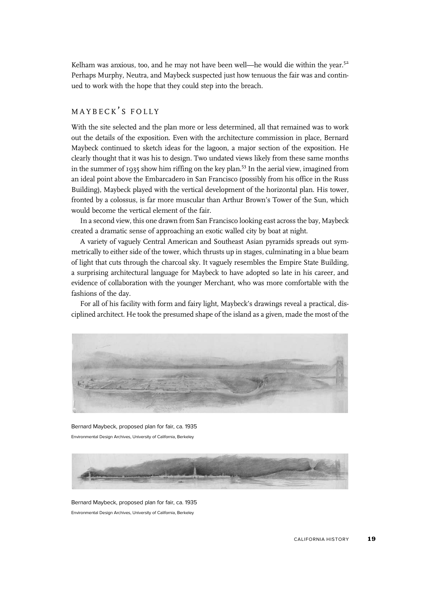Kelham was anxious, too, and he may not have been well—he would die within the year.<sup>52</sup> Perhaps Murphy, Neutra, and Maybeck suspected just how tenuous the fair was and continued to work with the hope that they could step into the breach.

## MAYBECK'S FOLLY

With the site selected and the plan more or less determined, all that remained was to work out the details of the exposition. Even with the architecture commission in place, Bernard Maybeck continued to sketch ideas for the lagoon, a major section of the exposition. He clearly thought that it was his to design. Two undated views likely from these same months in the summer of 1935 show him riffing on the key plan.<sup>53</sup> In the aerial view, imagined from an ideal point above the Embarcadero in San Francisco (possibly from his office in the Russ Building), Maybeck played with the vertical development of the horizontal plan. His tower, fronted by a colossus, is far more muscular than Arthur Brown's Tower of the Sun, which would become the vertical element of the fair.

In a second view, this one drawn from San Francisco looking east across the bay, Maybeck created a dramatic sense of approaching an exotic walled city by boat at night.

A variety of vaguely Central American and Southeast Asian pyramids spreads out symmetrically to either side of the tower, which thrusts up in stages, culminating in a blue beam of light that cuts through the charcoal sky. It vaguely resembles the Empire State Building, a surprising architectural language for Maybeck to have adopted so late in his career, and evidence of collaboration with the younger Merchant, who was more comfortable with the fashions of the day.

For all of his facility with form and fairy light, Maybeck's drawings reveal a practical, disciplined architect. He took the presumed shape of the island as a given, made the most of the



Bernard Maybeck, proposed plan for fair, ca. 1935 Environmental Design Archives, University of California, Berkeley



Bernard Maybeck, proposed plan for fair, ca. 1935 Environmental Design Archives, University of California, Berkeley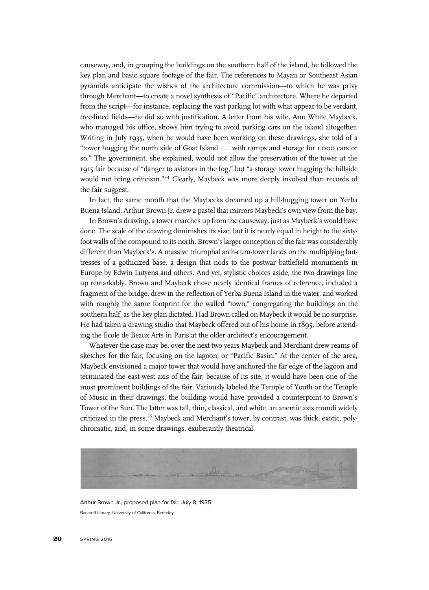causeway, and, in grouping the buildings on the southern half of the island, he followed the key plan and basic square footage of the fair. The references to Mayan or Southeast Asian pyramids anticipate the wishes of the architecture commission—to which he was privy through Merchant—to create a novel synthesis of "Pacific" architecture. Where he departed from the script—for instance, replacing the vast parking lot with what appear to be verdant, tree-lined fields—he did so with justification. A letter from his wife, Ann White Maybeck, who managed his office, shows him trying to avoid parking cars on the island altogether. Writing in July 1935, when he would have been working on these drawings, she told of a "tower hugging the north side of Goat Island . . . with ramps and storage for 1,000 cars or so." The government, she explained, would not allow the preservation of the tower at the 1915 fair because of "danger to aviators in the fog," but "a storage tower hugging the hillside would not bring criticism." <sup>54</sup> Clearly, Maybeck was more deeply involved than records of the fair suggest.

In fact, the same month that the Maybecks dreamed up a hill-hugging tower on Yerba Buena Island, Arthur Brown Jr. drew a pastel that mirrors Maybeck's own view from the bay.

In Brown's drawing, a tower marches up from the causeway, just as Maybeck's would have done. The scale of the drawing diminishes its size, but it is nearly equal in height to the sixtyfoot walls of the compound to its north. Brown's larger conception of the fair was considerably different than Maybeck's. A massive triumphal arch-cum-tower lands on the multiplying buttresses of a gothicized base, a design that nods to the postwar battlefield monuments in Europe by Edwin Lutyens and others. And yet, stylistic choices aside, the two drawings line up remarkably. Brown and Maybeck chose nearly identical frames of reference, included a fragment of the bridge, drew in the reflection of Yerba Buena Island in the water, and worked with roughly the same footprint for the walled "town," congregating the buildings on the southern half, as the key plan dictated. Had Brown called on Maybeck it would be no surprise. He had taken a drawing studio that Maybeck offered out of his home in 1895, before attending the École de Beaux Arts in Paris at the older architect's encouragement.

Whatever the case may be, over the next two years Maybeck and Merchant drew reams of sketches for the fair, focusing on the lagoon, or "Pacific Basin." At the center of the area, Maybeck envisioned a major tower that would have anchored the far edge of the lagoon and terminated the east-west axis of the fair; because of its site, it would have been one of the most prominent buildings of the fair. Variously labeled the Temple of Youth or the Temple of Music in their drawings, the building would have provided a counterpoint to Brown's Tower of the Sun. The latter was tall, thin, classical, and white, an anemic axis mundi widely criticized in the press.<sup>55</sup> Maybeck and Merchant's tower, by contrast, was thick, exotic, polychromatic, and, in some drawings, exuberantly theatrical.



Arthur Brown Jr., proposed plan for fair, July 8, 1935 Bancroft Library, University of California, Berkeley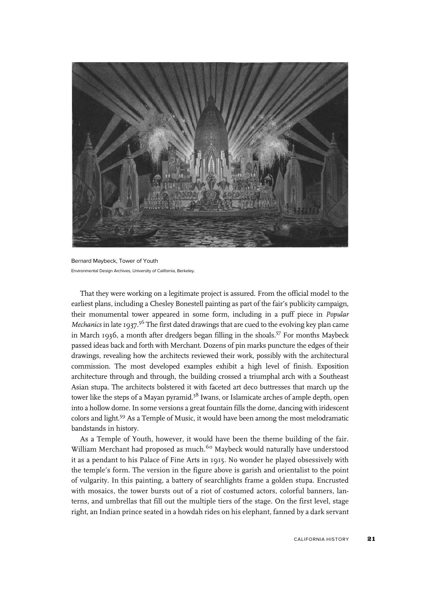

Bernard Maybeck, Tower of Youth Environmental Design Archives, University of California, Berkeley.

That they were working on a legitimate project is assured. From the official model to the earliest plans, including a Chesley Bonestell painting as part of the fair's publicity campaign, their monumental tower appeared in some form, including in a puff piece in Popular Mechanics in late 1937.<sup>56</sup> The first dated drawings that are cued to the evolving key plan came in March 1936, a month after dredgers began filling in the shoals.<sup>57</sup> For months Maybeck passed ideas back and forth with Merchant. Dozens of pin marks puncture the edges of their drawings, revealing how the architects reviewed their work, possibly with the architectural commission. The most developed examples exhibit a high level of finish. Exposition architecture through and through, the building crossed a triumphal arch with a Southeast Asian stupa. The architects bolstered it with faceted art deco buttresses that march up the tower like the steps of a Mayan pyramid.<sup>58</sup> Iwans, or Islamicate arches of ample depth, open into a hollow dome. In some versions a great fountain fills the dome, dancing with iridescent colors and light.59 As a Temple of Music, it would have been among the most melodramatic bandstands in history.

As a Temple of Youth, however, it would have been the theme building of the fair. William Merchant had proposed as much.<sup>60</sup> Maybeck would naturally have understood it as a pendant to his Palace of Fine Arts in 1915. No wonder he played obsessively with the temple's form. The version in the figure above is garish and orientalist to the point of vulgarity. In this painting, a battery of searchlights frame a golden stupa. Encrusted with mosaics, the tower bursts out of a riot of costumed actors, colorful banners, lanterns, and umbrellas that fill out the multiple tiers of the stage. On the first level, stage right, an Indian prince seated in a howdah rides on his elephant, fanned by a dark servant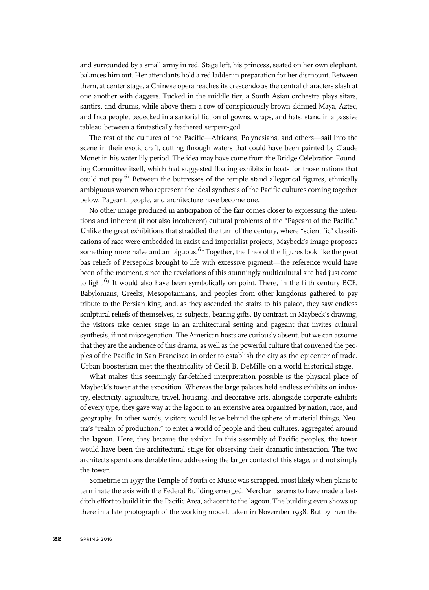and surrounded by a small army in red. Stage left, his princess, seated on her own elephant, balances him out. Her attendants hold a red ladder in preparation for her dismount. Between them, at center stage, a Chinese opera reaches its crescendo as the central characters slash at one another with daggers. Tucked in the middle tier, a South Asian orchestra plays sitars, santirs, and drums, while above them a row of conspicuously brown-skinned Maya, Aztec, and Inca people, bedecked in a sartorial fiction of gowns, wraps, and hats, stand in a passive tableau between a fantastically feathered serpent-god.

The rest of the cultures of the Pacific—Africans, Polynesians, and others—sail into the scene in their exotic craft, cutting through waters that could have been painted by Claude Monet in his water lily period. The idea may have come from the Bridge Celebration Founding Committee itself, which had suggested floating exhibits in boats for those nations that could not pay.<sup>61</sup> Between the buttresses of the temple stand allegorical figures, ethnically ambiguous women who represent the ideal synthesis of the Pacific cultures coming together below. Pageant, people, and architecture have become one.

No other image produced in anticipation of the fair comes closer to expressing the intentions and inherent (if not also incoherent) cultural problems of the "Pageant of the Pacific." Unlike the great exhibitions that straddled the turn of the century, where "scientific" classifications of race were embedded in racist and imperialist projects, Maybeck's image proposes something more naïve and ambiguous.<sup>62</sup> Together, the lines of the figures look like the great bas reliefs of Persepolis brought to life with excessive pigment—the reference would have been of the moment, since the revelations of this stunningly multicultural site had just come to light. $63$  It would also have been symbolically on point. There, in the fifth century BCE, Babylonians, Greeks, Mesopotamians, and peoples from other kingdoms gathered to pay tribute to the Persian king, and, as they ascended the stairs to his palace, they saw endless sculptural reliefs of themselves, as subjects, bearing gifts. By contrast, in Maybeck's drawing, the visitors take center stage in an architectural setting and pageant that invites cultural synthesis, if not miscegenation. The American hosts are curiously absent, but we can assume that they are the audience of this drama, as well as the powerful culture that convened the peoples of the Pacific in San Francisco in order to establish the city as the epicenter of trade. Urban boosterism met the theatricality of Cecil B. DeMille on a world historical stage.

What makes this seemingly far-fetched interpretation possible is the physical place of Maybeck's tower at the exposition. Whereas the large palaces held endless exhibits on industry, electricity, agriculture, travel, housing, and decorative arts, alongside corporate exhibits of every type, they gave way at the lagoon to an extensive area organized by nation, race, and geography. In other words, visitors would leave behind the sphere of material things, Neutra's "realm of production," to enter a world of people and their cultures, aggregated around the lagoon. Here, they became the exhibit. In this assembly of Pacific peoples, the tower would have been the architectural stage for observing their dramatic interaction. The two architects spent considerable time addressing the larger context of this stage, and not simply the tower.

Sometime in 1937 the Temple of Youth or Music was scrapped, most likely when plans to terminate the axis with the Federal Building emerged. Merchant seems to have made a lastditch effort to build it in the Pacific Area, adjacent to the lagoon. The building even shows up there in a late photograph of the working model, taken in November 1938. But by then the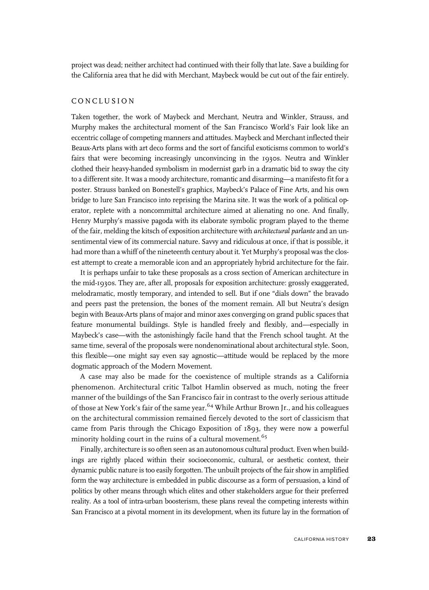project was dead; neither architect had continued with their folly that late. Save a building for the California area that he did with Merchant, Maybeck would be cut out of the fair entirely.

#### CONCLUSION

Taken together, the work of Maybeck and Merchant, Neutra and Winkler, Strauss, and Murphy makes the architectural moment of the San Francisco World's Fair look like an eccentric collage of competing manners and attitudes. Maybeck and Merchant inflected their Beaux-Arts plans with art deco forms and the sort of fanciful exoticisms common to world's fairs that were becoming increasingly unconvincing in the 1930s. Neutra and Winkler clothed their heavy-handed symbolism in modernist garb in a dramatic bid to sway the city to a different site. It was a moody architecture, romantic and disarming—a manifesto fit for a poster. Strauss banked on Bonestell's graphics, Maybeck's Palace of Fine Arts, and his own bridge to lure San Francisco into reprising the Marina site. It was the work of a political operator, replete with a noncommittal architecture aimed at alienating no one. And finally, Henry Murphy's massive pagoda with its elaborate symbolic program played to the theme of the fair, melding the kitsch of exposition architecture with architectural parlante and an unsentimental view of its commercial nature. Savvy and ridiculous at once, if that is possible, it had more than a whiff of the nineteenth century about it. Yet Murphy's proposal was the closest attempt to create a memorable icon and an appropriately hybrid architecture for the fair.

It is perhaps unfair to take these proposals as a cross section of American architecture in the mid-1930s. They are, after all, proposals for exposition architecture: grossly exaggerated, melodramatic, mostly temporary, and intended to sell. But if one "dials down" the bravado and peers past the pretension, the bones of the moment remain. All but Neutra's design begin with Beaux-Arts plans of major and minor axes converging on grand public spaces that feature monumental buildings. Style is handled freely and flexibly, and—especially in Maybeck's case—with the astonishingly facile hand that the French school taught. At the same time, several of the proposals were nondenominational about architectural style. Soon, this flexible—one might say even say agnostic—attitude would be replaced by the more dogmatic approach of the Modern Movement.

A case may also be made for the coexistence of multiple strands as a California phenomenon. Architectural critic Talbot Hamlin observed as much, noting the freer manner of the buildings of the San Francisco fair in contrast to the overly serious attitude of those at New York's fair of the same year.  $64$  While Arthur Brown Jr., and his colleagues on the architectural commission remained fiercely devoted to the sort of classicism that came from Paris through the Chicago Exposition of 1893, they were now a powerful minority holding court in the ruins of a cultural movement.<sup>65</sup>

Finally, architecture is so often seen as an autonomous cultural product. Even when buildings are rightly placed within their socioeconomic, cultural, or aesthetic context, their dynamic public nature is too easily forgotten. The unbuilt projects of the fair show in amplified form the way architecture is embedded in public discourse as a form of persuasion, a kind of politics by other means through which elites and other stakeholders argue for their preferred reality. As a tool of intra-urban boosterism, these plans reveal the competing interests within San Francisco at a pivotal moment in its development, when its future lay in the formation of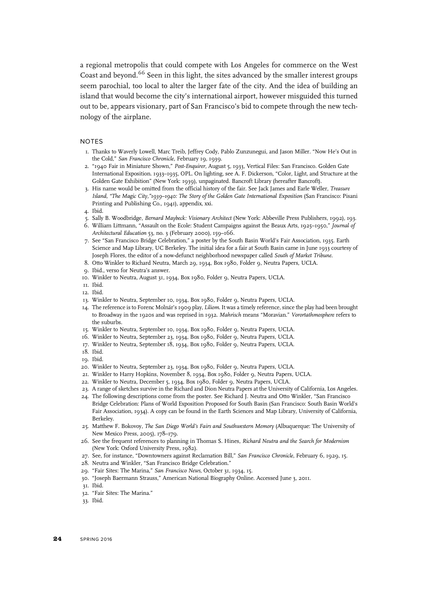a regional metropolis that could compete with Los Angeles for commerce on the West Coast and beyond.<sup>66</sup> Seen in this light, the sites advanced by the smaller interest groups seem parochial, too local to alter the larger fate of the city. And the idea of building an island that would become the city's international airport, however misguided this turned out to be, appears visionary, part of San Francisco's bid to compete through the new technology of the airplane.

#### NOTES

- 1. Thanks to Waverly Lowell, Marc Treib, Jeffrey Cody, Pablo Zunzunegui, and Jason Miller. "Now He's Out in the Cold," San Francisco Chronicle, February 19, 1939.
- 2. "1940 Fair in Miniature Shown," Post-Enquirer, August 5, 1933, Vertical Files: San Francisco. Golden Gate International Exposition. 1933–1935, OPL. On lighting, see A. F. Dickerson, "Color, Light, and Structure at the Golden Gate Exhibition" (New York: 1939), unpaginated. Bancroft Library (hereafter Bancroft).
- 3. His name would be omitted from the official history of the fair. See Jack James and Earle Weller, Treasure Island, "The Magic City,"1939–1940: The Story of the Golden Gate International Exposition (San Francisco: Pisani Printing and Publishing Co., 1941), appendix, xxi.
- 4. Ibid.
- 5. Sally B. Woodbridge, Bernard Maybeck: Visionary Architect (New York: Abbeville Press Publishers, 1992), 193.
- 6. William Littmann, "Assault on the Ecole: Student Campaigns against the Beaux Arts, 1925–1950," Journal of Architectural Education 53, no. 3 (February 2000), 159–166.
- 7. See "San Francisco Bridge Celebration," a poster by the South Basin World's Fair Association, 1935. Earth Science and Map Library, UC Berkeley. The initial idea for a fair at South Basin came in June 1933 courtesy of Joseph Flores, the editor of a now-defunct neighborhood newspaper called South of Market Tribune.
- 8. Otto Winkler to Richard Neutra, March 29, 1934, Box 1980, Folder 9, Neutra Papers, UCLA.
- 9. Ibid., verso for Neutra's answer.
- 10. Winkler to Neutra, August 31, 1934, Box 1980, Folder 9, Neutra Papers, UCLA.
- 11. Ibid.
- 12. Ibid.
- 13. Winkler to Neutra, September 10, 1934, Box 1980, Folder 9, Neutra Papers, UCLA.
- 14. The reference is to Forenc Molnár's 1909 play, Liliom. It was a timely reference, since the play had been brought to Broadway in the 1920s and was reprised in 1932. Mahrisch means "Moravian." Vorortathmosphere refers to the suburbs.
- 15. Winkler to Neutra, September 10, 1934, Box 1980, Folder 9, Neutra Papers, UCLA.
- 16. Winkler to Neutra, September 23, 1934, Box 1980, Folder 9, Neutra Papers, UCLA.
- 17. Winkler to Neutra, September 18, 1934, Box 1980, Folder 9, Neutra Papers, UCLA.
- 18. Ibid.
- 19. Ibid.
- 20. Winkler to Neutra, September 23, 1934, Box 1980, Folder 9, Neutra Papers, UCLA.
- 21. Winkler to Harry Hopkins, November 8, 1934, Box 1980, Folder 9, Neutra Papers, UCLA.
- 22. Winkler to Neutra, December 5, 1934, Box 1980, Folder 9, Neutra Papers, UCLA.
- 23. A range of sketches survive in the Richard and Dion Neutra Papers at the University of California, Los Angeles.
- 24. The following descriptions come from the poster. See Richard J. Neutra and Otto Winkler, "San Francisco Bridge Celebration: Plans of World Exposition Proposed for South Basin (San Francisco: South Basin World's Fair Association, 1934). A copy can be found in the Earth Sciences and Map Library, University of California, Berkeley.
- 25. Matthew F. Bokovoy, The San Diego World's Fairs and Southwestern Memory (Albuquerque: The University of New Mexico Press, 2005), 178–179.
- 26. See the frequent references to planning in Thomas S. Hines, Richard Neutra and the Search for Modernism (New York: Oxford University Press, 1982).
- 27. See, for instance, "Downtowners against Reclamation Bill," San Francisco Chronicle, February 6, 1929, 15.
- 28. Neutra and Winkler, "San Francisco Bridge Celebration."
- 29. "Fair Sites: The Marina," San Francisco News, October 31, 1934, 15.
- 30. "Joseph Baermann Strauss," American National Biography Online. Accessed June 3, 2011.

- 32. "Fair Sites: The Marina."
- 33. Ibid.

<sup>31.</sup> Ibid.